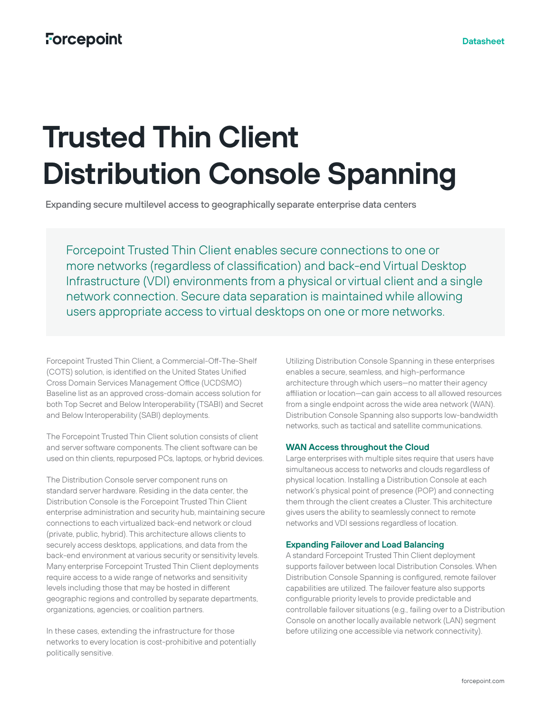# **Trusted Thin Client Distribution Console Spanning**

Expanding secure multilevel access to geographically separate enterprise data centers

Forcepoint Trusted Thin Client enables secure connections to one or more networks (regardless of classification) and back-end Virtual Desktop Infrastructure (VDI) environments from a physical or virtual client and a single network connection. Secure data separation is maintained while allowing users appropriate access to virtual desktops on one or more networks.

Forcepoint Trusted Thin Client, a Commercial-Off-The-Shelf (COTS) solution, is identified on the United States Unified Cross Domain Services Management Office (UCDSMO) Baseline list as an approved cross-domain access solution for both Top Secret and Below Interoperability (TSABI) and Secret and Below Interoperability (SABI) deployments.

The Forcepoint Trusted Thin Client solution consists of client and server software components. The client software can be used on thin clients, repurposed PCs, laptops, or hybrid devices.

The Distribution Console server component runs on standard server hardware. Residing in the data center, the Distribution Console is the Forcepoint Trusted Thin Client enterprise administration and security hub, maintaining secure connections to each virtualized back-end network or cloud (private, public, hybrid). This architecture allows clients to securely access desktops, applications, and data from the back-end environment at various security or sensitivity levels. Many enterprise Forcepoint Trusted Thin Client deployments require access to a wide range of networks and sensitivity levels including those that may be hosted in different geographic regions and controlled by separate departments, organizations, agencies, or coalition partners.

In these cases, extending the infrastructure for those networks to every location is cost-prohibitive and potentially politically sensitive.

Utilizing Distribution Console Spanning in these enterprises enables a secure, seamless, and high-performance architecture through which users—no matter their agency affiliation or location—can gain access to all allowed resources from a single endpoint across the wide area network (WAN). Distribution Console Spanning also supports low-bandwidth networks, such as tactical and satellite communications.

## **WAN Access throughout the Cloud**

Large enterprises with multiple sites require that users have simultaneous access to networks and clouds regardless of physical location. Installing a Distribution Console at each network's physical point of presence (POP) and connecting them through the client creates a Cluster. This architecture gives users the ability to seamlessly connect to remote networks and VDI sessions regardless of location.

# **Expanding Failover and Load Balancing**

A standard Forcepoint Trusted Thin Client deployment supports failover between local Distribution Consoles. When Distribution Console Spanning is configured, remote failover capabilities are utilized. The failover feature also supports configurable priority levels to provide predictable and controllable failover situations (e.g., failing over to a Distribution Console on another locally available network (LAN) segment before utilizing one accessible via network connectivity).